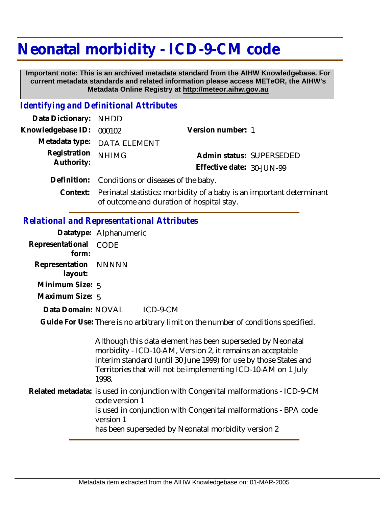## **Neonatal morbidity - ICD-9-CM code**

 **Important note: This is an archived metadata standard from the AIHW Knowledgebase. For current metadata standards and related information please access METeOR, the AIHW's Metadata Online Registry at http://meteor.aihw.gov.au**

## *Identifying and Definitional Attributes*

| Data Dictionary: NHDD    |                                                                                |                           |                          |
|--------------------------|--------------------------------------------------------------------------------|---------------------------|--------------------------|
| Knowledgebase ID: 000102 |                                                                                | Version number: 1         |                          |
|                          | Metadata type: DATA ELEMENT                                                    |                           |                          |
| Registration             | <b>NHIMG</b>                                                                   |                           | Admin status: SUPERSEDED |
| Authority:               |                                                                                | Effective date: 30-JUN-99 |                          |
|                          | Definition: Conditions or diseases of the baby.                                |                           |                          |
|                          | Context: Perinatal statistics: morbidity of a baby is an important determinant |                           |                          |

of outcome and duration of hospital stay.

## *Relational and Representational Attributes*

|                                 | Datatype: Alphanumeric                                                                                                                                                                                                                                                  |
|---------------------------------|-------------------------------------------------------------------------------------------------------------------------------------------------------------------------------------------------------------------------------------------------------------------------|
| Representational CODE<br>form:  |                                                                                                                                                                                                                                                                         |
| Representation NNNNN<br>layout: |                                                                                                                                                                                                                                                                         |
| Minimum Size: $5$               |                                                                                                                                                                                                                                                                         |
| Maximum Size: 5                 |                                                                                                                                                                                                                                                                         |
| Data Domain: NOVAL              | ICD-9-CM                                                                                                                                                                                                                                                                |
|                                 | Guide For Use: There is no arbitrary limit on the number of conditions specified.                                                                                                                                                                                       |
|                                 |                                                                                                                                                                                                                                                                         |
|                                 | Although this data element has been superseded by Neonatal<br>morbidity - ICD-10-AM, Version 2, it remains an acceptable<br>interim standard (until 30 June 1999) for use by those States and<br>Territories that will not be implementing ICD-10-AM on 1 July<br>1998. |
|                                 | Related metadata: is used in conjunction with Congenital malformations - ICD-9-CM<br>code version 1<br>is used in conjunction with Congenital malformations - BPA code<br>version 1<br>has been superseded by Neonatal morbidity version 2                              |